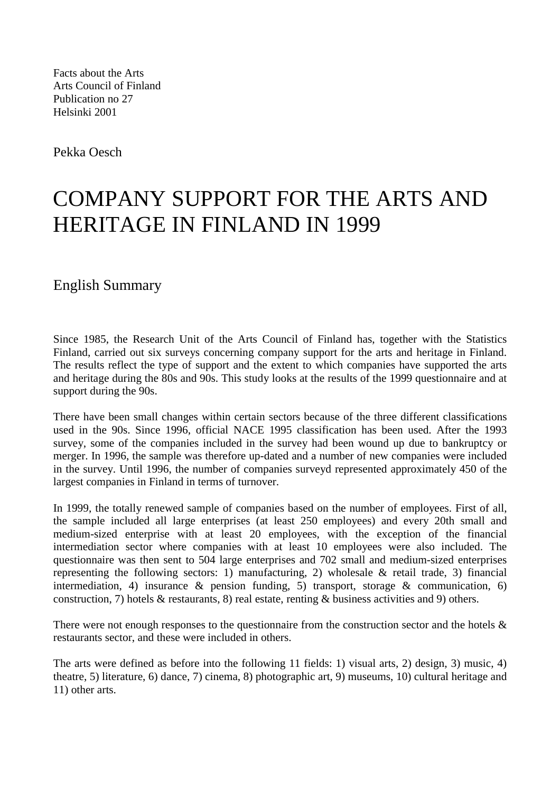Facts about the Arts Arts Council of Finland Publication no 27 Helsinki 2001

Pekka Oesch

## COMPANY SUPPORT FOR THE ARTS AND HERITAGE IN FINLAND IN 1999

English Summary

Since 1985, the Research Unit of the Arts Council of Finland has, together with the Statistics Finland, carried out six surveys concerning company support for the arts and heritage in Finland. The results reflect the type of support and the extent to which companies have supported the arts and heritage during the 80s and 90s. This study looks at the results of the 1999 questionnaire and at support during the 90s.

There have been small changes within certain sectors because of the three different classifications used in the 90s. Since 1996, official NACE 1995 classification has been used. After the 1993 survey, some of the companies included in the survey had been wound up due to bankruptcy or merger. In 1996, the sample was therefore up-dated and a number of new companies were included in the survey. Until 1996, the number of companies surveyd represented approximately 450 of the largest companies in Finland in terms of turnover.

In 1999, the totally renewed sample of companies based on the number of employees. First of all, the sample included all large enterprises (at least 250 employees) and every 20th small and medium-sized enterprise with at least 20 employees, with the exception of the financial intermediation sector where companies with at least 10 employees were also included. The questionnaire was then sent to 504 large enterprises and 702 small and medium-sized enterprises representing the following sectors: 1) manufacturing, 2) wholesale  $\&$  retail trade, 3) financial intermediation, 4) insurance & pension funding, 5) transport, storage & communication, 6) construction, 7) hotels & restaurants, 8) real estate, renting & business activities and 9) others.

There were not enough responses to the questionnaire from the construction sector and the hotels  $\&$ restaurants sector, and these were included in others.

The arts were defined as before into the following 11 fields: 1) visual arts, 2) design, 3) music, 4) theatre, 5) literature, 6) dance, 7) cinema, 8) photographic art, 9) museums, 10) cultural heritage and 11) other arts.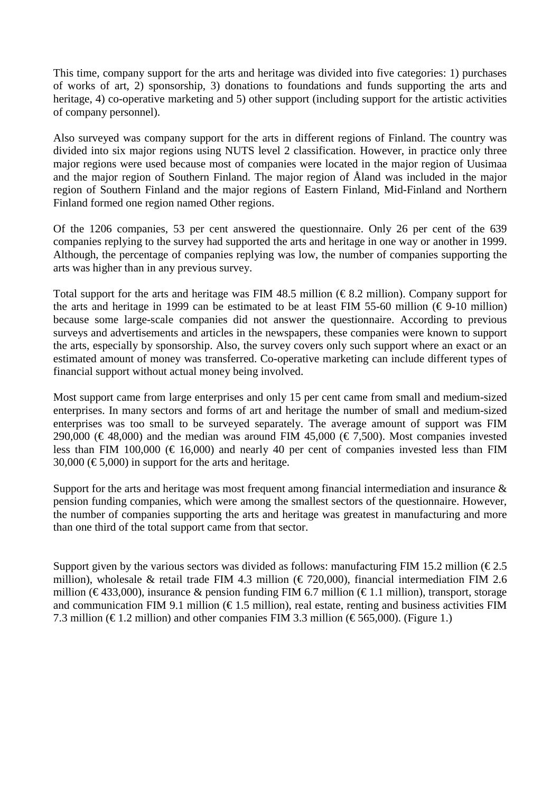This time, company support for the arts and heritage was divided into five categories: 1) purchases of works of art, 2) sponsorship, 3) donations to foundations and funds supporting the arts and heritage, 4) co-operative marketing and 5) other support (including support for the artistic activities of company personnel).

Also surveyed was company support for the arts in different regions of Finland. The country was divided into six major regions using NUTS level 2 classification. However, in practice only three major regions were used because most of companies were located in the major region of Uusimaa and the major region of Southern Finland. The major region of Åland was included in the major region of Southern Finland and the major regions of Eastern Finland, Mid-Finland and Northern Finland formed one region named Other regions.

Of the 1206 companies, 53 per cent answered the questionnaire. Only 26 per cent of the 639 companies replying to the survey had supported the arts and heritage in one way or another in 1999. Although, the percentage of companies replying was low, the number of companies supporting the arts was higher than in any previous survey.

Total support for the arts and heritage was FIM 48.5 million ( $\epsilon$ 8.2 million). Company support for the arts and heritage in 1999 can be estimated to be at least FIM 55-60 million ( $\epsilon$ 9-10 million) because some large-scale companies did not answer the questionnaire. According to previous surveys and advertisements and articles in the newspapers, these companies were known to support the arts, especially by sponsorship. Also, the survey covers only such support where an exact or an estimated amount of money was transferred. Co-operative marketing can include different types of financial support without actual money being involved.

Most support came from large enterprises and only 15 per cent came from small and medium-sized enterprises. In many sectors and forms of art and heritage the number of small and medium-sized enterprises was too small to be surveyed separately. The average amount of support was FIM 290,000 ( $\in$  48,000) and the median was around FIM 45,000 ( $\in$  7,500). Most companies invested less than FIM 100,000 ( $\in$  16,000) and nearly 40 per cent of companies invested less than FIM 30,000 ( $\epsilon$ 5,000) in support for the arts and heritage.

Support for the arts and heritage was most frequent among financial intermediation and insurance  $\&$ pension funding companies, which were among the smallest sectors of the questionnaire. However, the number of companies supporting the arts and heritage was greatest in manufacturing and more than one third of the total support came from that sector.

Support given by the various sectors was divided as follows: manufacturing FIM 15.2 million ( $\epsilon$ 2.5) million), wholesale & retail trade FIM 4.3 million ( $\epsilon$ 720,000), financial intermediation FIM 2.6 million (€433,000), insurance & pension funding FIM 6.7 million (€1.1 million), transport, storage and communication FIM 9.1 million ( $\epsilon$ 1.5 million), real estate, renting and business activities FIM 7.3 million ( $\in$ 1.2 million) and other companies FIM 3.3 million ( $\in$ 565,000). (Figure 1.)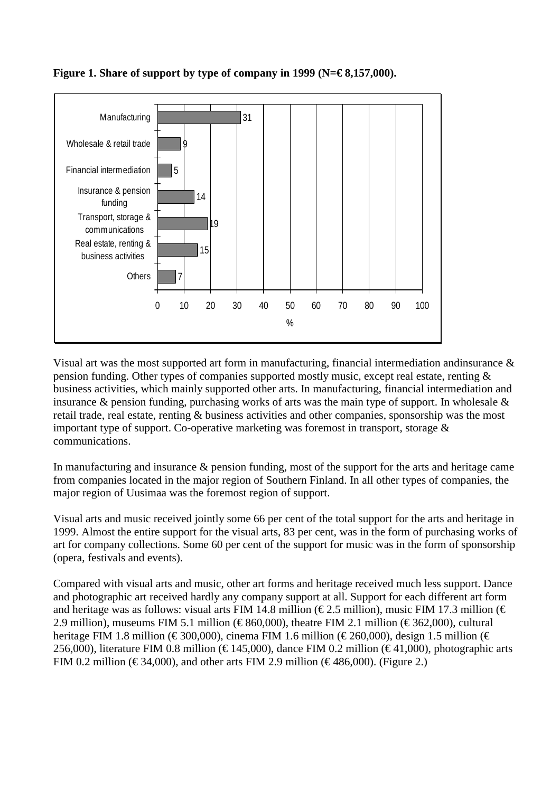

## **Figure 1. Share of support by type of company in 1999 (N=€ 8,157,000).**

Visual art was the most supported art form in manufacturing, financial intermediation andinsurance & pension funding. Other types of companies supported mostly music, except real estate, renting & business activities, which mainly supported other arts. In manufacturing, financial intermediation and insurance & pension funding, purchasing works of arts was the main type of support. In wholesale & retail trade, real estate, renting & business activities and other companies, sponsorship was the most important type of support. Co-operative marketing was foremost in transport, storage & communications.

In manufacturing and insurance & pension funding, most of the support for the arts and heritage came from companies located in the major region of Southern Finland. In all other types of companies, the major region of Uusimaa was the foremost region of support.

Visual arts and music received jointly some 66 per cent of the total support for the arts and heritage in 1999. Almost the entire support for the visual arts, 83 per cent, was in the form of purchasing works of art for company collections. Some 60 per cent of the support for music was in the form of sponsorship (opera, festivals and events).

Compared with visual arts and music, other art forms and heritage received much less support. Dance and photographic art received hardly any company support at all. Support for each different art form and heritage was as follows: visual arts FIM 14.8 million ( $\epsilon$ 2.5 million), music FIM 17.3 million ( $\epsilon$ 2.9 million), museums FIM 5.1 million (€860,000), theatre FIM 2.1 million (€362,000), cultural heritage FIM 1.8 million (€300,000), cinema FIM 1.6 million (€260,000), design 1.5 million (€ 256,000), literature FIM 0.8 million ( $\epsilon$ 145,000), dance FIM 0.2 million ( $\epsilon$ 41,000), photographic arts FIM 0.2 million ( $\epsilon$ 34,000), and other arts FIM 2.9 million ( $\epsilon$ 486,000). (Figure 2.)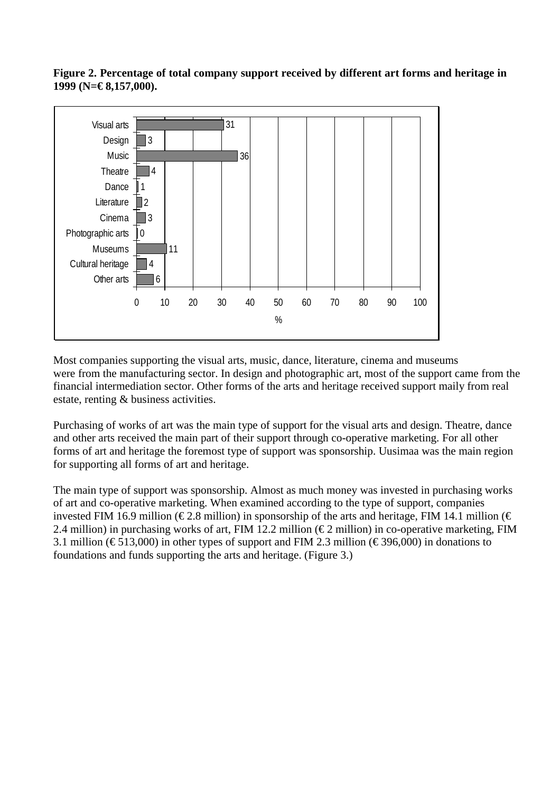



Most companies supporting the visual arts, music, dance, literature, cinema and museums were from the manufacturing sector. In design and photographic art, most of the support came from the financial intermediation sector. Other forms of the arts and heritage received support maily from real estate, renting & business activities.

Purchasing of works of art was the main type of support for the visual arts and design. Theatre, dance and other arts received the main part of their support through co-operative marketing. For all other forms of art and heritage the foremost type of support was sponsorship. Uusimaa was the main region for supporting all forms of art and heritage.

The main type of support was sponsorship. Almost as much money was invested in purchasing works of art and co-operative marketing. When examined according to the type of support, companies invested FIM 16.9 million ( $\epsilon$ 2.8 million) in sponsorship of the arts and heritage, FIM 14.1 million ( $\epsilon$ 2.4 million) in purchasing works of art, FIM 12.2 million ( $\epsilon$ 2 million) in co-operative marketing, FIM 3.1 million ( $\epsilon$ 513,000) in other types of support and FIM 2.3 million ( $\epsilon$ 396,000) in donations to foundations and funds supporting the arts and heritage. (Figure 3.)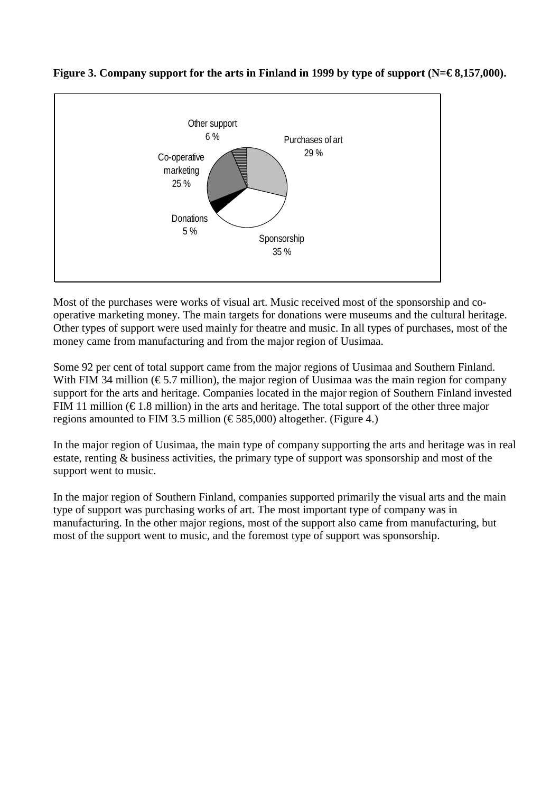

## Figure 3. Company support for the arts in Finland in 1999 by type of support (N=€8,157,000).

Most of the purchases were works of visual art. Music received most of the sponsorship and cooperative marketing money. The main targets for donations were museums and the cultural heritage. Other types of support were used mainly for theatre and music. In all types of purchases, most of the money came from manufacturing and from the major region of Uusimaa.

Some 92 per cent of total support came from the major regions of Uusimaa and Southern Finland. With FIM 34 million ( $\epsilon$ 5.7 million), the major region of Uusimaa was the main region for company support for the arts and heritage. Companies located in the major region of Southern Finland invested FIM 11 million ( $\epsilon$ 1.8 million) in the arts and heritage. The total support of the other three major regions amounted to FIM 3.5 million ( $\epsilon$ 585,000) altogether. (Figure 4.)

In the major region of Uusimaa, the main type of company supporting the arts and heritage was in real estate, renting & business activities, the primary type of support was sponsorship and most of the support went to music.

In the major region of Southern Finland, companies supported primarily the visual arts and the main type of support was purchasing works of art. The most important type of company was in manufacturing. In the other major regions, most of the support also came from manufacturing, but most of the support went to music, and the foremost type of support was sponsorship.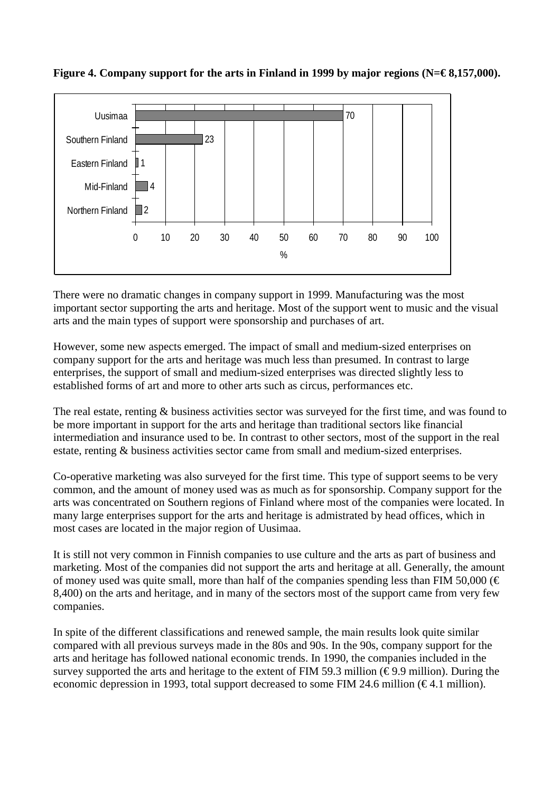

Figure 4. Company support for the arts in Finland in 1999 by major regions (N=€8,157,000).

There were no dramatic changes in company support in 1999. Manufacturing was the most important sector supporting the arts and heritage. Most of the support went to music and the visual arts and the main types of support were sponsorship and purchases of art.

However, some new aspects emerged. The impact of small and medium-sized enterprises on company support for the arts and heritage was much less than presumed. In contrast to large enterprises, the support of small and medium-sized enterprises was directed slightly less to established forms of art and more to other arts such as circus, performances etc.

The real estate, renting & business activities sector was surveyed for the first time, and was found to be more important in support for the arts and heritage than traditional sectors like financial intermediation and insurance used to be. In contrast to other sectors, most of the support in the real estate, renting & business activities sector came from small and medium-sized enterprises.

Co-operative marketing was also surveyed for the first time. This type of support seems to be very common, and the amount of money used was as much as for sponsorship. Company support for the arts was concentrated on Southern regions of Finland where most of the companies were located. In many large enterprises support for the arts and heritage is admistrated by head offices, which in most cases are located in the major region of Uusimaa.

It is still not very common in Finnish companies to use culture and the arts as part of business and marketing. Most of the companies did not support the arts and heritage at all. Generally, the amount of money used was quite small, more than half of the companies spending less than FIM 50,000 ( $\in$ 8,400) on the arts and heritage, and in many of the sectors most of the support came from very few companies.

In spite of the different classifications and renewed sample, the main results look quite similar compared with all previous surveys made in the 80s and 90s. In the 90s, company support for the arts and heritage has followed national economic trends. In 1990, the companies included in the survey supported the arts and heritage to the extent of FIM 59.3 million ( $\epsilon$ 9.9 million). During the economic depression in 1993, total support decreased to some FIM 24.6 million ( $\epsilon$ 4.1 million).